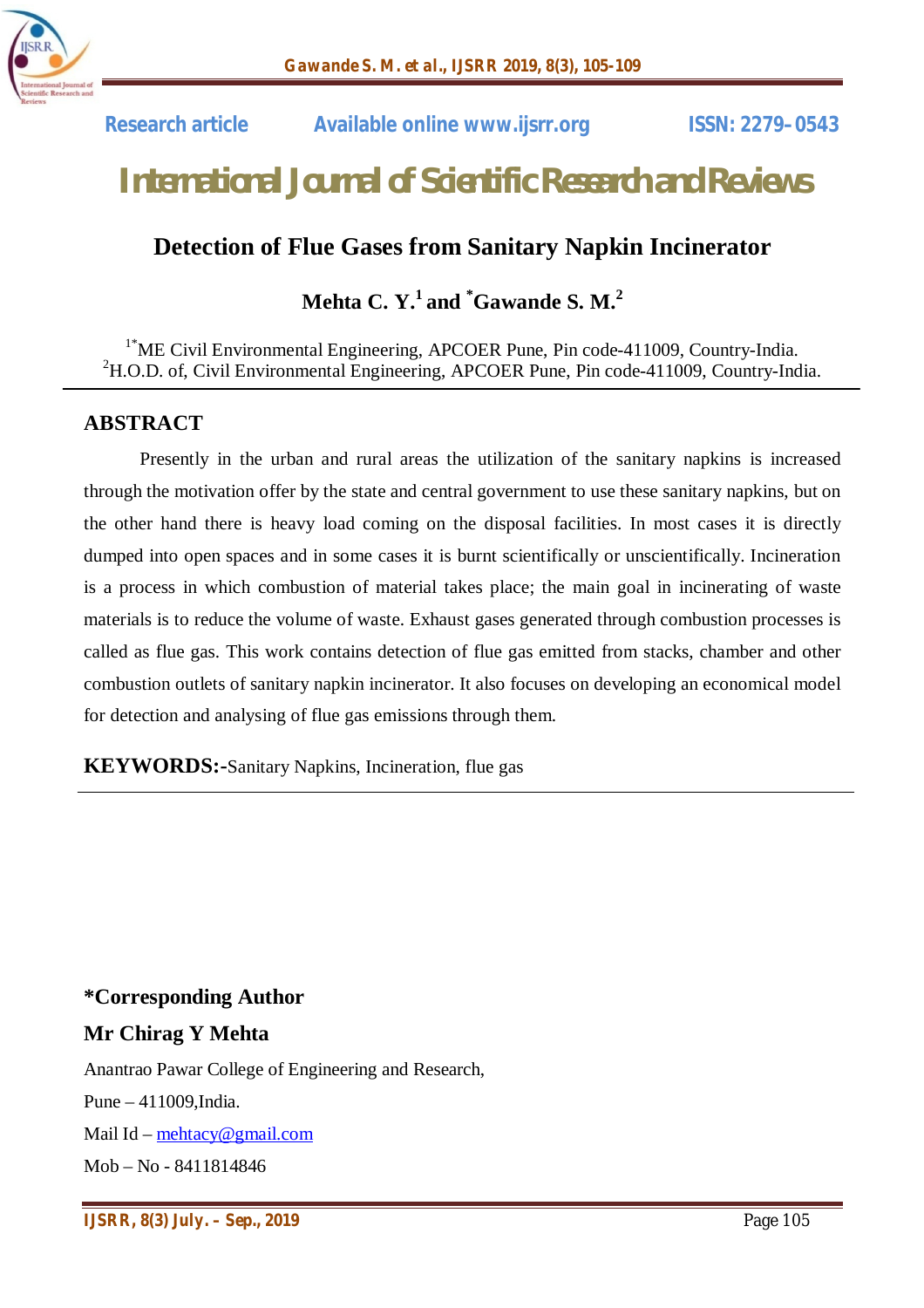

 **Research article Available online www.ijsrr.org ISSN: 2279–0543**

# *International Journal of Scientific Research and Reviews*

# **Detection of Flue Gases from Sanitary Napkin Incinerator**

# **Mehta C. Y. 1 and \*Gawande S. M. 2**

<sup>1\*</sup>ME Civil Environmental Engineering, APCOER Pune, Pin code-411009, Country-India.  ${}^{2}$ H.O.D. of, Civil Environmental Engineering, APCOER Pune, Pin code-411009, Country-India.

## **ABSTRACT**

Presently in the urban and rural areas the utilization of the sanitary napkins is increased through the motivation offer by the state and central government to use these sanitary napkins, but on the other hand there is heavy load coming on the disposal facilities. In most cases it is directly dumped into open spaces and in some cases it is burnt scientifically or unscientifically. Incineration is a process in which combustion of material takes place; the main goal in incinerating of waste materials is to reduce the volume of waste. Exhaust gases generated through combustion processes is called as flue gas. This work contains detection of flue gas emitted from stacks, chamber and other combustion outlets of sanitary napkin incinerator. It also focuses on developing an economical model for detection and analysing of flue gas emissions through them.

**KEYWORDS:-**Sanitary Napkins, Incineration, flue gas

#### **\*Corresponding Author**

#### **Mr Chirag Y Mehta**

Anantrao Pawar College of Engineering and Research,

Pune – 411009,India.

Mail Id – mehtacy@gmail.com

Mob – No - 8411814846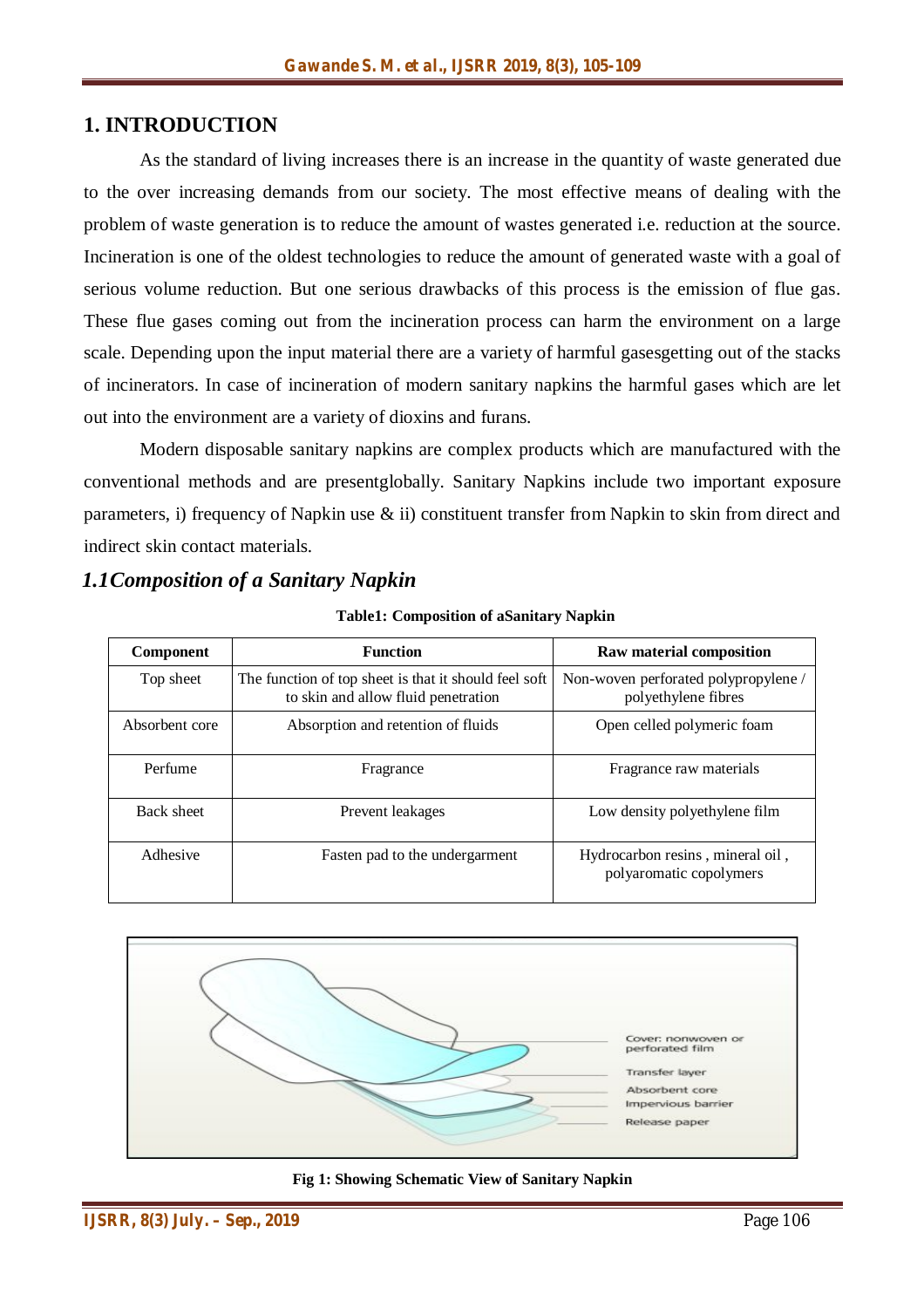#### **1. INTRODUCTION**

As the standard of living increases there is an increase in the quantity of waste generated due to the over increasing demands from our society. The most effective means of dealing with the problem of waste generation is to reduce the amount of wastes generated i.e. reduction at the source. Incineration is one of the oldest technologies to reduce the amount of generated waste with a goal of serious volume reduction. But one serious drawbacks of this process is the emission of flue gas. These flue gases coming out from the incineration process can harm the environment on a large scale. Depending upon the input material there are a variety of harmful gasesgetting out of the stacks of incinerators. In case of incineration of modern sanitary napkins the harmful gases which are let out into the environment are a variety of dioxins and furans.

Modern disposable sanitary napkins are complex products which are manufactured with the conventional methods and are presentglobally. Sanitary Napkins include two important exposure parameters, i) frequency of Napkin use & ii) constituent transfer from Napkin to skin from direct and indirect skin contact materials.

#### *1.1Composition of a Sanitary Napkin*

| <b>Component</b> | <b>Function</b>                                                                              | Raw material composition                                    |
|------------------|----------------------------------------------------------------------------------------------|-------------------------------------------------------------|
| Top sheet        | The function of top sheet is that it should feel soft<br>to skin and allow fluid penetration | Non-woven perforated polypropylene /<br>polyethylene fibres |
| Absorbent core   | Absorption and retention of fluids                                                           | Open celled polymeric foam                                  |
| Perfume          | Fragrance                                                                                    | Fragrance raw materials                                     |
| Back sheet       | Prevent leakages                                                                             | Low density polyethylene film                               |
| Adhesive         | Fasten pad to the undergarment                                                               | Hydrocarbon resins, mineral oil,<br>polyaromatic copolymers |

**Table1: Composition of aSanitary Napkin**



**Fig 1: Showing Schematic View of Sanitary Napkin**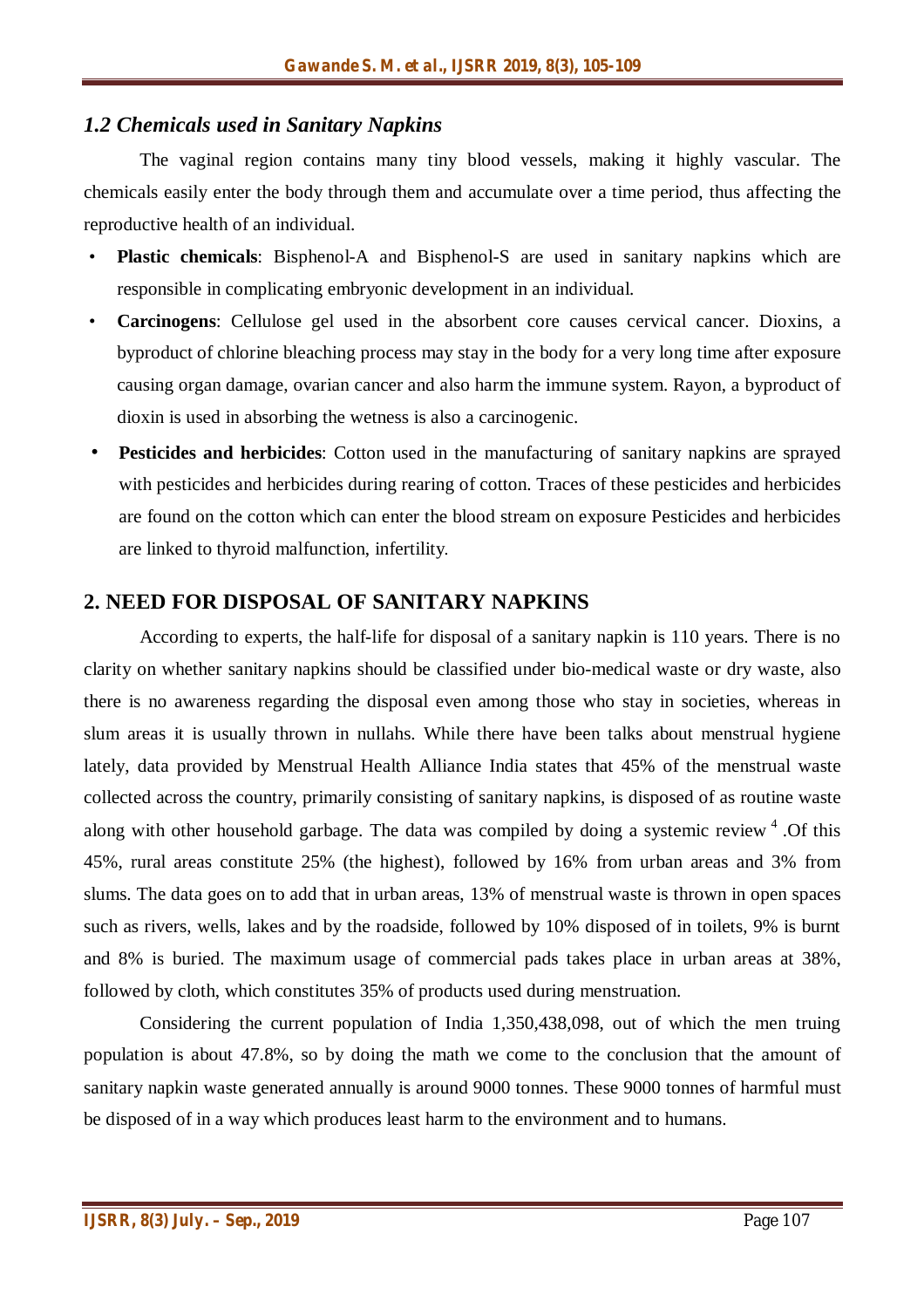#### *1.2 Chemicals used in Sanitary Napkins*

The vaginal region contains many tiny blood vessels, making it highly vascular. The chemicals easily enter the body through them and accumulate over a time period, thus affecting the reproductive health of an individual.

- **Plastic chemicals**: Bisphenol-A and Bisphenol-S are used in sanitary napkins which are responsible in complicating embryonic development in an individual.
- **Carcinogens**: Cellulose gel used in the absorbent core causes cervical cancer. Dioxins, a byproduct of chlorine bleaching process may stay in the body for a very long time after exposure causing organ damage, ovarian cancer and also harm the immune system. Rayon, a byproduct of dioxin is used in absorbing the wetness is also a carcinogenic.
- **Pesticides and herbicides**: Cotton used in the manufacturing of sanitary napkins are sprayed with pesticides and herbicides during rearing of cotton. Traces of these pesticides and herbicides are found on the cotton which can enter the blood stream on exposure Pesticides and herbicides are linked to thyroid malfunction, infertility.

#### **2. NEED FOR DISPOSAL OF SANITARY NAPKINS**

According to experts, the half-life for disposal of a sanitary napkin is 110 years. There is no clarity on whether sanitary napkins should be classified under bio-medical waste or dry waste, also there is no awareness regarding the disposal even among those who stay in societies, whereas in slum areas it is usually thrown in nullahs. While there have been talks about menstrual hygiene lately, data provided by Menstrual Health Alliance India states that 45% of the menstrual waste collected across the country, primarily consisting of sanitary napkins, is disposed of as routine waste along with other household garbage. The data was compiled by doing a systemic review <sup>4</sup>. Of this 45%, rural areas constitute 25% (the highest), followed by 16% from urban areas and 3% from slums. The data goes on to add that in urban areas, 13% of menstrual waste is thrown in open spaces such as rivers, wells, lakes and by the roadside, followed by 10% disposed of in toilets, 9% is burnt and 8% is buried. The maximum usage of commercial pads takes place in urban areas at 38%, followed by cloth, which constitutes 35% of products used during menstruation.

Considering the current population of India 1,350,438,098, out of which the men truing population is about 47.8%, so by doing the math we come to the conclusion that the amount of sanitary napkin waste generated annually is around 9000 tonnes. These 9000 tonnes of harmful must be disposed of in a way which produces least harm to the environment and to humans.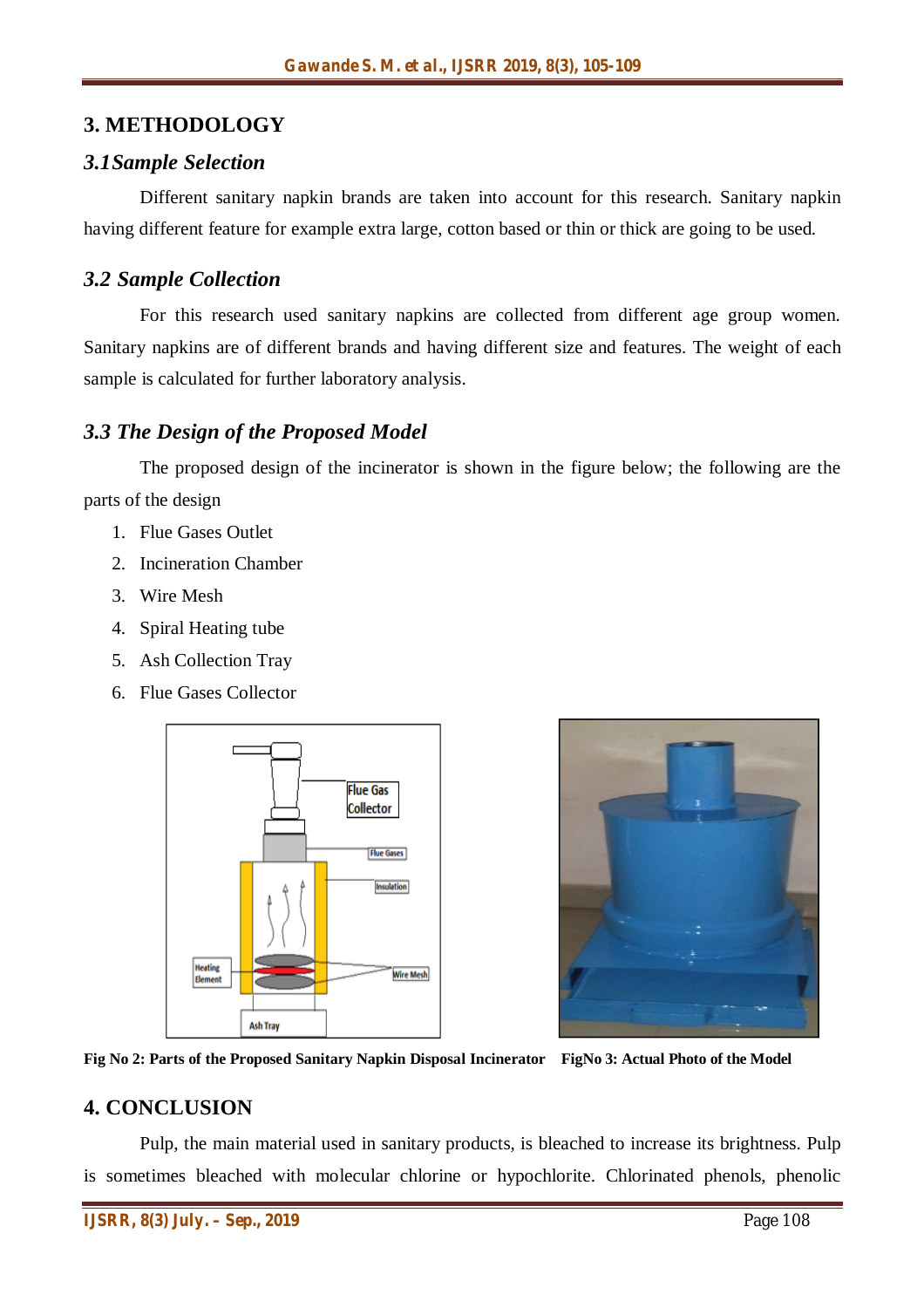## **3. METHODOLOGY**

#### *3.1Sample Selection*

Different sanitary napkin brands are taken into account for this research. Sanitary napkin having different feature for example extra large, cotton based or thin or thick are going to be used.

#### *3.2 Sample Collection*

For this research used sanitary napkins are collected from different age group women. Sanitary napkins are of different brands and having different size and features. The weight of each sample is calculated for further laboratory analysis.

#### *3.3 The Design of the Proposed Model*

The proposed design of the incinerator is shown in the figure below; the following are the parts of the design

- 1. Flue Gases Outlet
- 2. Incineration Chamber
- 3. Wire Mesh
- 4. Spiral Heating tube
- 5. Ash Collection Tray
- 6. Flue Gases Collector





**Fig No 2: Parts of the Proposed Sanitary Napkin Disposal Incinerator FigNo 3: Actual Photo of the Model**

#### **4. CONCLUSION**

Pulp, the main material used in sanitary products, is bleached to increase its brightness. Pulp is sometimes bleached with molecular chlorine or hypochlorite. Chlorinated phenols, phenolic